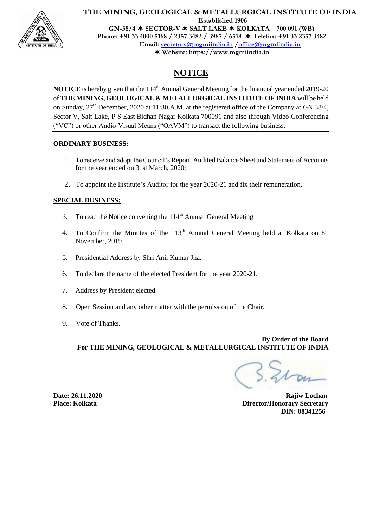

# **Website: https://www.mgmiindia.in**

# **NOTICE**

**NOTICE** is hereby given that the 114<sup>th</sup> Annual General Meeting for the financial year ended 2019-20 of **THE MINING, GEOLOGICAL & METALLURGICAL INSTITUTE OF INDIA** will be held on Sunday,  $27<sup>th</sup>$  December, 2020 at 11:30 A.M. at the registered office of the Company at GN 38/4, Sector V, Salt Lake, P S East Bidhan Nagar Kolkata 700091 and also through Video-Conferencing ("VC") or other Audio-Visual Means ("OAVM") to transact the following business:

### **ORDINARY BUSINESS:**

- 1. To receive and adopt the Council's Report, Audited Balance Sheet and Statement of Accounts for the year ended on 31st March, 2020;
- 2. To appoint the Institute's Auditor for the year 2020-21 and fix their remuneration.

### **SPECIAL BUSINESS:**

- 3. To read the Notice convening the  $114<sup>th</sup>$  Annual General Meeting
- 4. To Confirm the Minutes of the  $113<sup>th</sup>$  Annual General Meeting held at Kolkata on  $8<sup>th</sup>$ November, 2019.
- 5. Presidential Address by Shri Anil Kumar Jha.
- 6. To declare the name of the elected President for the year 2020-21.
- 7. Address by President elected.
- 8. Open Session and any other matter with the permission of the Chair.
- 9. Vote of Thanks.

**By Order of the Board For THE MINING, GEOLOGICAL & METALLURGICAL INSTITUTE OF INDIA**

**Date: 26.11.2020 Rajiw Lochan Place: Kolkata** Director/Honorary Secretary  **DIN: 08341256**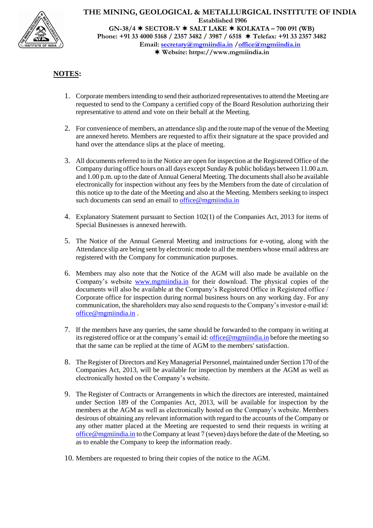

### **THE MINING, GEOLOGICAL & METALLURGICAL INSTITUTE OF INDIA Established 1906 GN-38/4 SECTOR-V SALT LAKE KOLKATA – 700 091 (WB)**

**Phone: +91 33 4000 5168 / 2357 3482 / 3987 / 6518 Telefax: +91 33 2357 3482 Email: secretary@mgmiindia.in /office@mgmiindia.in Website: https://www.mgmiindia.in**

# **NOTES:**

- 1. Corporate members intending to send their authorized representatives to attend the Meeting are requested to send to the Company a certified copy of the Board Resolution authorizing their representative to attend and vote on their behalf at the Meeting.
- 2. For convenience of members, an attendance slip and the route map of the venue of the Meeting are annexed hereto. Members are requested to affix their signature at the space provided and hand over the attendance slips at the place of meeting.
- 3. All documents referred to in the Notice are open for inspection at the Registered Office of the Company during office hours on all days except Sunday & public holidays between 11.00 a.m. and 1.00 p.m. up to the date of Annual General Meeting. The documents shall also be available electronically for inspection without any fees by the Members from the date of circulation of this notice up to the date of the Meeting and also at the Meeting. Members seeking to inspect such documents can send an email to [office@mgmiindia.in](mailto:office@mgmiindia.in)
- 4. Explanatory Statement pursuant to Section 102(1) of the Companies Act, 2013 for items of Special Businesses is annexed herewith.
- 5. The Notice of the Annual General Meeting and instructions for e-voting, along with the Attendance slip are being sent by electronic mode to all the members whose email address are registered with the Company for communication purposes.
- 6. Members may also note that the Notice of the AGM will also made be available on the Company's website [www.mgmiindia.in](http://www.mgmiindia.in/) for their download. The physical copies of the documents will also be available at the Company's Registered Office in Registered office / Corporate office for inspection during normal business hours on any working day. For any communication, the shareholders may also send requests to the Company's investor e-mail id: [office@mgmiindia.in](mailto:office@mgmiindia.in) .
- 7. If the members have any queries, the same should be forwarded to the company in writing at its registered office or at the company's email id[: office@mgmiindia.in](mailto:office@mgmiindia.in) before the meeting so that the same can be replied at the time of AGM to the members' satisfaction.
- 8. The Register of Directors and Key Managerial Personnel, maintained under Section 170 of the Companies Act, 2013, will be available for inspection by members at the AGM as well as electronically hosted on the Company's website.
- 9. The Register of Contracts or Arrangements in which the directors are interested, maintained under Section 189 of the Companies Act, 2013, will be available for inspection by the members at the AGM as well as electronically hosted on the Company's website. Members desirous of obtaining any relevant information with regard to the accounts of the Company or any other matter placed at the Meeting are requested to send their requests in writing at [office@mgmiindia.in](mailto:office@mgmiindia.in) to the Company at least 7 (seven) days before the date of the Meeting, so as to enable the Company to keep the information ready.
- 10. Members are requested to bring their copies of the notice to the AGM.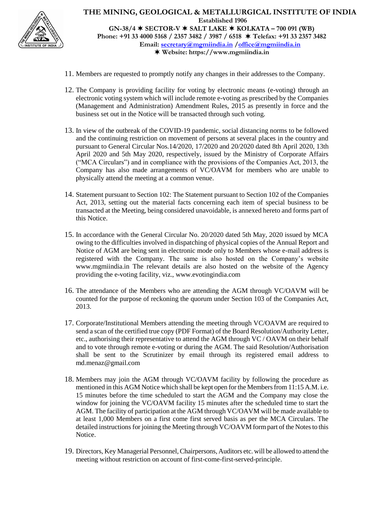

**Website: https://www.mgmiindia.in**

- 11. Members are requested to promptly notify any changes in their addresses to the Company.
- 12. The Company is providing facility for voting by electronic means (e-voting) through an electronic voting system which will include remote e-voting as prescribed by the Companies (Management and Administration) Amendment Rules, 2015 as presently in force and the business set out in the Notice will be transacted through such voting.
- 13. In view of the outbreak of the COVID-19 pandemic, social distancing norms to be followed and the continuing restriction on movement of persons at several places in the country and pursuant to General Circular Nos.14/2020, 17/2020 and 20/2020 dated 8th April 2020, 13th April 2020 and 5th May 2020, respectively, issued by the Ministry of Corporate Affairs ("MCA Circulars") and in compliance with the provisions of the Companies Act, 2013, the Company has also made arrangements of VC/OAVM for members who are unable to physically attend the meeting at a common venue.
- 14. Statement pursuant to Section 102: The Statement pursuant to Section 102 of the Companies Act, 2013, setting out the material facts concerning each item of special business to be transacted at the Meeting, being considered unavoidable, is annexed hereto and forms part of this Notice.
- 15. In accordance with the General Circular No. 20/2020 dated 5th May, 2020 issued by MCA owing to the difficulties involved in dispatching of physical copies of the Annual Report and Notice of AGM are being sent in electronic mode only to Members whose e-mail address is registered with the Company. The same is also hosted on the Company's website [www.mgmiindia.in](http://www.mgmiindia.in/) The relevant details are also hosted on the website of the Agency providing the e-voting facility, viz., [www.evotingindia.com](http://www.evotingindia.com/)
- 16. The attendance of the Members who are attending the AGM through VC/OAVM will be counted for the purpose of reckoning the quorum under Section 103 of the Companies Act, 2013.
- 17. Corporate/Institutional Members attending the meeting through VC/OAVM are required to send a scan of the certified true copy (PDF Format) of the Board Resolution/Authority Letter, etc., authorising their representative to attend the AGM through VC / OAVM on their behalf and to vote through remote e-voting or during the AGM. The said Resolution/Authorisation shall be sent to the Scrutinizer by email through its registered email address to [md.menaz@gmail.com](mailto:md.menaz@gmail.com)
- 18. Members may join the AGM through VC/OAVM facility by following the procedure as mentioned in this AGM Notice which shall be kept open for the Members from 11:15 A.M. i.e. 15 minutes before the time scheduled to start the AGM and the Company may close the window for joining the VC/OAVM facility 15 minutes after the scheduled time to start the AGM. The facility of participation at the AGM through VC/OAVM will be made available to at least 1,000 Members on a first come first served basis as per the MCA Circulars. The detailed instructions for joining the Meeting through VC/OAVM form part of the Notes to this Notice.
- 19. Directors, Key Managerial Personnel, Chairpersons, Auditors etc. will be allowed to attend the meeting without restriction on account of first-come-first-served-principle.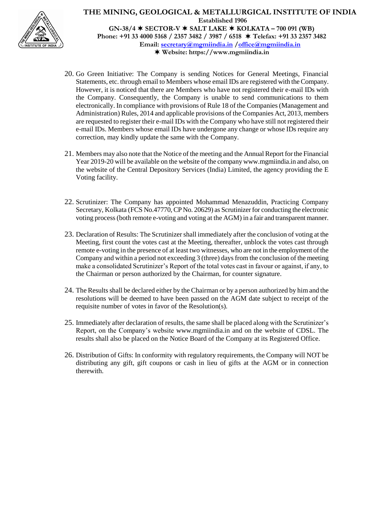

- 20. Go Green Initiative: The Company is sending Notices for General Meetings, Financial Statements, etc. through email to Members whose email IDs are registered with the Company. However, it is noticed that there are Members who have not registered their e-mail IDs with the Company. Consequently, the Company is unable to send communications to them electronically. In compliance with provisions of Rule 18 of the Companies (Management and Administration) Rules, 2014 and applicable provisions of the Companies Act, 2013, members are requested to register their e-mail IDs with the Company who have still not registered their e-mail IDs. Members whose email IDs have undergone any change or whose IDs require any correction, may kindly update the same with the Company.
- 21. Members may also note that the Notice of the meeting and the Annual Report for the Financial Year 2019-20 will be available on the website of the compan[y www.mgmiindia.in](http://www.mgmiindia.in/) and also, on the website of the Central Depository Services (India) Limited, the agency providing the E Voting facility.
- 22. Scrutinizer: The Company has appointed Mohammad Menazuddin, Practicing Company Secretary, Kolkata (FCS No.47770, CP No. 20629) as Scrutinizer for conducting the electronic voting process (both remote e-voting and voting at the AGM) in a fair and transparent manner.
- 23. Declaration of Results: The Scrutinizer shall immediately after the conclusion of voting at the Meeting, first count the votes cast at the Meeting, thereafter, unblock the votes cast through remote e-voting in the presence of at least two witnesses, who are not in the employment of the Company and within a period not exceeding 3 (three) days from the conclusion of the meeting make a consolidated Scrutinizer's Report of the total votes cast in favour or against, if any, to the Chairman or person authorized by the Chairman, for counter signature.
- 24. The Results shall be declared either by the Chairman or by a person authorized by him and the resolutions will be deemed to have been passed on the AGM date subject to receipt of the requisite number of votes in favor of the Resolution(s).
- 25. Immediately after declaration of results, the same shall be placed along with the Scrutinizer's Report, on the Company's website [www.mgmiindia.in](http://www.mgmiindia.in/) and on the website of CDSL. The results shall also be placed on the Notice Board of the Company at its Registered Office.
- 26. Distribution of Gifts: In conformity with regulatory requirements, the Company will NOT be distributing any gift, gift coupons or cash in lieu of gifts at the AGM or in connection therewith.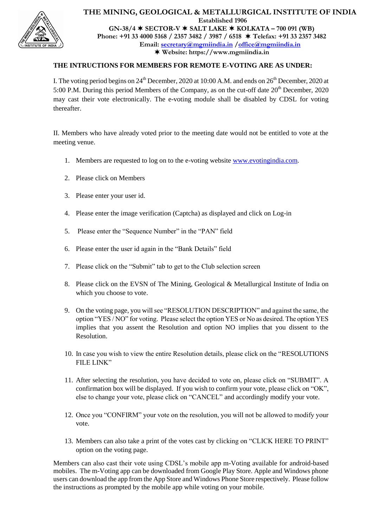

### **THE INTRUCTIONS FOR MEMBERS FOR REMOTE E-VOTING ARE AS UNDER:**

I. The voting period begins on  $24<sup>th</sup>$  December, 2020 at 10:00 A.M. and ends on  $26<sup>th</sup>$  December, 2020 at 5:00 P.M. During this period Members of the Company, as on the cut-off date  $20<sup>th</sup>$  December, 2020 may cast their vote electronically. The e-voting module shall be disabled by CDSL for voting thereafter.

II. Members who have already voted prior to the meeting date would not be entitled to vote at the meeting venue.

- 1. Members are requested to log on to the e-voting websit[e www.evotingindia.com.](http://www.evotingindia.com/)
- 2. Please click on Members
- 3. Please enter your user id.
- 4. Please enter the image verification (Captcha) as displayed and click on Log-in
- 5. Please enter the "Sequence Number" in the "PAN" field
- 6. Please enter the user id again in the "Bank Details" field
- 7. Please click on the "Submit" tab to get to the Club selection screen
- 8. Please click on the EVSN of The Mining, Geological & Metallurgical Institute of India on which you choose to vote.
- 9. On the voting page, you will see "RESOLUTION DESCRIPTION" and against the same, the option "YES / NO" for voting. Please select the option YES or No as desired. The option YES implies that you assent the Resolution and option NO implies that you dissent to the Resolution.
- 10. In case you wish to view the entire Resolution details, please click on the "RESOLUTIONS FILE LINK"
- 11. After selecting the resolution, you have decided to vote on, please click on "SUBMIT". A confirmation box will be displayed. If you wish to confirm your vote, please click on "OK", else to change your vote, please click on "CANCEL" and accordingly modify your vote.
- 12. Once you "CONFIRM" your vote on the resolution, you will not be allowed to modify your vote.
- 13. Members can also take a print of the votes cast by clicking on "CLICK HERE TO PRINT" option on the voting page.

Members can also cast their vote using CDSL's mobile app m-Voting available for android-based mobiles. The m-Voting app can be downloaded from Google Play Store. Apple and Windows phone users can download the app from the App Store and Windows Phone Store respectively. Please follow the instructions as prompted by the mobile app while voting on your mobile.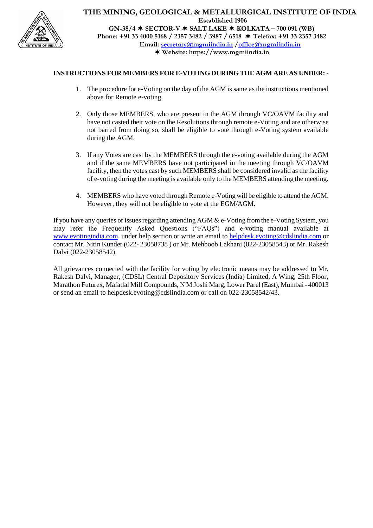

### **INSTRUCTIONS FOR MEMBERS FOR E-VOTING DURING THE AGM ARE AS UNDER: -**

- 1. The procedure for e-Voting on the day of the AGM is same as the instructions mentioned above for Remote e-voting.
- 2. Only those MEMBERS, who are present in the AGM through VC/OAVM facility and have not casted their vote on the Resolutions through remote e-Voting and are otherwise not barred from doing so, shall be eligible to vote through e-Voting system available during the AGM.
- 3. If any Votes are cast by the MEMBERS through the e-voting available during the AGM and if the same MEMBERS have not participated in the meeting through VC/OAVM facility, then the votes cast by such MEMBERS shall be considered invalid as the facility of e-voting during the meeting is available only to the MEMBERS attending the meeting.
- 4. MEMBERS who have voted through Remote e-Voting will be eligible to attend the AGM. However, they will not be eligible to vote at the EGM/AGM.

If you have any queries or issues regarding attending AGM & e-Voting from the e-Voting System, you may refer the Frequently Asked Questions ("FAQs") and e-voting manual available at [www.evotingindia.com,](http://www.evotingindia.com/) under help section or write an email to [helpdesk.evoting@cdslindia.com](mailto:helpdesk.evoting@cdslindia.com) or contact Mr. Nitin Kunder (022- 23058738 ) or Mr. Mehboob Lakhani (022-23058543) or Mr. Rakesh Dalvi (022-23058542).

All grievances connected with the facility for voting by electronic means may be addressed to Mr. Rakesh Dalvi, Manager, (CDSL) Central Depository Services (India) Limited, A Wing, 25th Floor, Marathon Futurex, Mafatlal Mill Compounds, N M Joshi Marg, Lower Parel (East), Mumbai - 400013 or send an email to [helpdesk.evoting@cdslindia.com](mailto:helpdesk.evoting@cdslindia.com) or call on 022-23058542/43.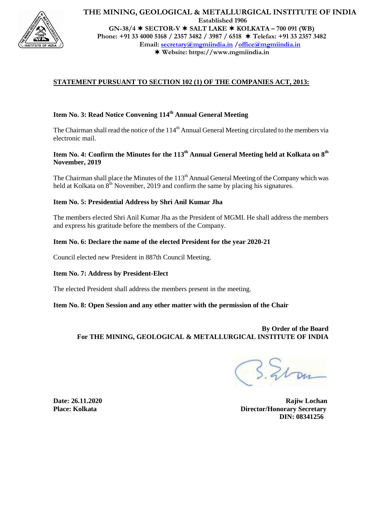

# **THE MINING, GEOLOGICAL & METALLURGICAL INSTITUTE OF INDIA Established 1906**

**GN-38/4 SECTOR-V SALT LAKE KOLKATA – 700 091 (WB) Phone: +91 33 4000 5168 / 2357 3482 / 3987 / 6518 Telefax: +91 33 2357 3482 Email: secretary@mgmiindia.in /office@mgmiindia.in Website: https://www.mgmiindia.in**

### **STATEMENT PURSUANT TO SECTION 102 (1) OF THE COMPANIES ACT, 2013:**

# **Item No. 3: Read Notice Convening 114th Annual General Meeting**

The Chairman shall read the notice of the 114<sup>th</sup> Annual General Meeting circulated to the members via electronic mail.

### **Item No. 4: Confirm the Minutes for the 113th Annual General Meeting held at Kolkata on 8th November, 2019**

The Chairman shall place the Minutes of the  $113<sup>th</sup>$  Annual General Meeting of the Company which was held at Kolkata on  $8<sup>th</sup>$  November, 2019 and confirm the same by placing his signatures.

### **Item No. 5: Presidential Address by Shri Anil Kumar Jha**

The members elected Shri Anil Kumar Jha as the President of MGMI. He shall address the members and express his gratitude before the members of the Company.

#### **Item No. 6: Declare the name of the elected President for the year 2020-21**

Council elected new President in 887th Council Meeting.

#### **Item No. 7: Address by President-Elect**

The elected President shall address the members present in the meeting.

#### **Item No. 8: Open Session and any other matter with the permission of the Chair**

**By Order of the Board For THE MINING, GEOLOGICAL & METALLURGICAL INSTITUTE OF INDIA**

**Date: 26.11.2020 Rajiw Lochan Place: Kolkata** Director/Honorary Secretary  **DIN: 08341256**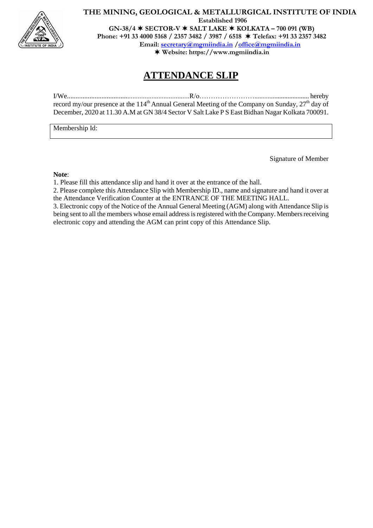

# **THE MINING, GEOLOGICAL & METALLURGICAL INSTITUTE OF INDIA Established 1906 GN-38/4 SECTOR-V SALT LAKE KOLKATA – 700 091 (WB)**

**Phone: +91 33 4000 5168 / 2357 3482 / 3987 / 6518 Telefax: +91 33 2357 3482**

**Email: secretary@mgmiindia.in /office@mgmiindia.in**

**Website: https://www.mgmiindia.in**

# **ATTENDANCE SLIP**

I/We.......................................................................R/o……………………................................. hereby record my/our presence at the 114<sup>th</sup> Annual General Meeting of the Company on Sunday,  $27<sup>th</sup>$  day of December, 2020 at 11.30 A.M at GN 38/4 Sector V Salt Lake P S East Bidhan Nagar Kolkata 700091.

Membership Id:

Signature of Member

#### **Note**:

1. Please fill this attendance slip and hand it over at the entrance of the hall.

2. Please complete this Attendance Slip with Membership ID., name and signature and hand it over at the Attendance Verification Counter at the ENTRANCE OF THE MEETING HALL.

3. Electronic copy of the Notice of the Annual General Meeting (AGM) along with Attendance Slip is being sent to all the members whose email address is registered with the Company. Members receiving electronic copy and attending the AGM can print copy of this Attendance Slip.